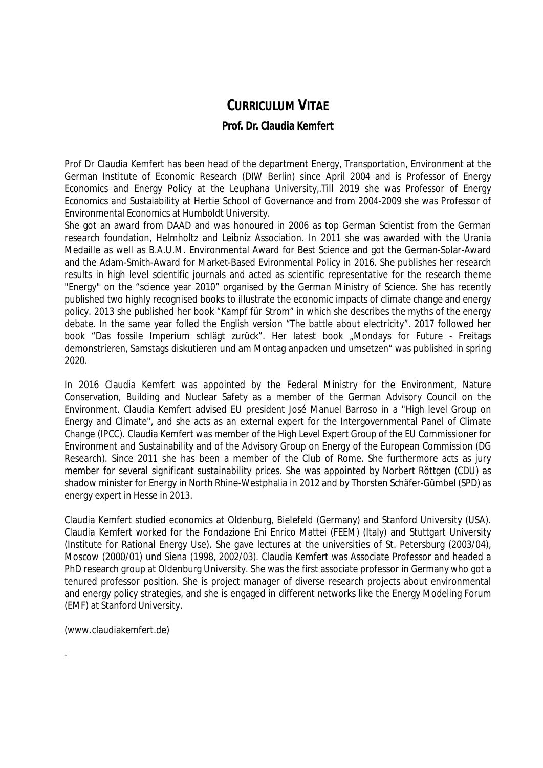# **CURRICULUM VITAE**

## **Prof. Dr. Claudia Kemfert**

Prof Dr Claudia Kemfert has been head of the department Energy, Transportation, Environment at the German Institute of Economic Research (DIW Berlin) since April 2004 and is Professor of Energy Economics and Energy Policy at the Leuphana University,.Till 2019 she was Professor of Energy Economics and Sustaiability at Hertie School of Governance and from 2004-2009 she was Professor of Environmental Economics at Humboldt University.

She got an award from DAAD and was honoured in 2006 as top German Scientist from the German research foundation, Helmholtz and Leibniz Association. In 2011 she was awarded with the Urania Medaille as well as B.A.U.M. Environmental Award for Best Science and got the German-Solar-Award and the Adam-Smith-Award for Market-Based Evironmental Policy in 2016. She publishes her research results in high level scientific journals and acted as scientific representative for the research theme "Energy" on the "science year 2010" organised by the German Ministry of Science. She has recently published two highly recognised books to illustrate the economic impacts of climate change and energy policy. 2013 she published her book "Kampf für Strom" in which she describes the myths of the energy debate. In the same year folled the English version "The battle about electricity". 2017 followed her book "Das fossile Imperium schlägt zurück". Her latest book "Mondays for Future - Freitags demonstrieren, Samstags diskutieren und am Montag anpacken und umsetzen" was published in spring 2020.

In 2016 Claudia Kemfert was appointed by the Federal Ministry for the Environment, Nature Conservation, Building and Nuclear Safety as a member of the German Advisory Council on the Environment. Claudia Kemfert advised EU president José Manuel Barroso in a "High level Group on Energy and Climate", and she acts as an external expert for the Intergovernmental Panel of Climate Change (IPCC). Claudia Kemfert was member of the High Level Expert Group of the EU Commissioner for Environment and Sustainability and of the Advisory Group on Energy of the European Commission (DG Research). Since 2011 she has been a member of the Club of Rome. She furthermore acts as jury member for several significant sustainability prices. She was appointed by Norbert Röttgen (CDU) as shadow minister for Energy in North Rhine-Westphalia in 2012 and by Thorsten Schäfer-Gümbel (SPD) as energy expert in Hesse in 2013.

Claudia Kemfert studied economics at Oldenburg, Bielefeld (Germany) and Stanford University (USA). Claudia Kemfert worked for the Fondazione Eni Enrico Mattei (FEEM) (Italy) and Stuttgart University (Institute for Rational Energy Use). She gave lectures at the universities of St. Petersburg (2003/04), Moscow (2000/01) und Siena (1998, 2002/03). Claudia Kemfert was Associate Professor and headed a PhD research group at Oldenburg University. She was the first associate professor in Germany who got a tenured professor position. She is project manager of diverse research projects about environmental and energy policy strategies, and she is engaged in different networks like the Energy Modeling Forum (EMF) at Stanford University.

(www.claudiakemfert.de)

.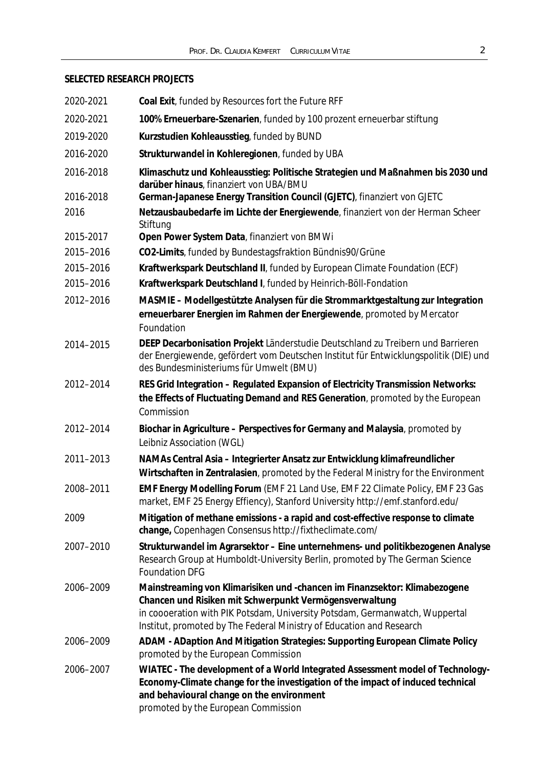## **SELECTED RESEARCH PROJECTS**

| 2020-2021 | Coal Exit, funded by Resources fort the Future RFF                                                                                                                                                                                                                                           |
|-----------|----------------------------------------------------------------------------------------------------------------------------------------------------------------------------------------------------------------------------------------------------------------------------------------------|
| 2020-2021 | 100% Erneuerbare-Szenarien, funded by 100 prozent erneuerbar stiftung                                                                                                                                                                                                                        |
| 2019-2020 | Kurzstudien Kohleausstieg, funded by BUND                                                                                                                                                                                                                                                    |
| 2016-2020 | Strukturwandel in Kohleregionen, funded by UBA                                                                                                                                                                                                                                               |
| 2016-2018 | Klimaschutz und Kohleausstieg: Politische Strategien und Maßnahmen bis 2030 und<br>darüber hinaus, finanziert von UBA/BMU                                                                                                                                                                    |
| 2016-2018 | German-Japanese Energy Transition Council (GJETC), finanziert von GJETC                                                                                                                                                                                                                      |
| 2016      | Netzausbaubedarfe im Lichte der Energiewende, finanziert von der Herman Scheer<br>Stiftung                                                                                                                                                                                                   |
| 2015-2017 | Open Power System Data, finanziert von BMWi                                                                                                                                                                                                                                                  |
| 2015-2016 | CO2-Limits, funded by Bundestagsfraktion Bündnis90/Grüne                                                                                                                                                                                                                                     |
| 2015-2016 | Kraftwerkspark Deutschland II, funded by European Climate Foundation (ECF)                                                                                                                                                                                                                   |
| 2015-2016 | Kraftwerkspark Deutschland I, funded by Heinrich-Böll-Fondation                                                                                                                                                                                                                              |
| 2012-2016 | MASMIE - Modellgestützte Analysen für die Strommarktgestaltung zur Integration<br>erneuerbarer Energien im Rahmen der Energiewende, promoted by Mercator<br>Foundation                                                                                                                       |
| 2014-2015 | DEEP Decarbonisation Projekt Länderstudie Deutschland zu Treibern und Barrieren<br>der Energiewende, gefördert vom Deutschen Institut für Entwicklungspolitik (DIE) und<br>des Bundesministeriums für Umwelt (BMU)                                                                           |
| 2012-2014 | RES Grid Integration - Regulated Expansion of Electricity Transmission Networks:<br>the Effects of Fluctuating Demand and RES Generation, promoted by the European<br>Commission                                                                                                             |
| 2012-2014 | Biochar in Agriculture - Perspectives for Germany and Malaysia, promoted by<br>Leibniz Association (WGL)                                                                                                                                                                                     |
| 2011-2013 | NAMAs Central Asia – Integrierter Ansatz zur Entwicklung klimafreundlicher<br>Wirtschaften in Zentralasien, promoted by the Federal Ministry for the Environment                                                                                                                             |
| 2008-2011 | EMF Energy Modelling Forum (EMF 21 Land Use, EMF 22 Climate Policy, EMF 23 Gas<br>market, EMF 25 Energy Effiency), Stanford University http://emf.stanford.edu/                                                                                                                              |
| 2009      | Mitigation of methane emissions - a rapid and cost-effective response to climate<br>change, Copenhagen Consensus http://fixtheclimate.com/                                                                                                                                                   |
| 2007-2010 | Strukturwandel im Agrarsektor - Eine unternehmens- und politikbezogenen Analyse<br>Research Group at Humboldt-University Berlin, promoted by The German Science<br><b>Foundation DFG</b>                                                                                                     |
| 2006-2009 | Mainstreaming von Klimarisiken und -chancen im Finanzsektor: Klimabezogene<br>Chancen und Risiken mit Schwerpunkt Vermögensverwaltung<br>in coooeration with PIK Potsdam, University Potsdam, Germanwatch, Wuppertal<br>Institut, promoted by The Federal Ministry of Education and Research |
| 2006-2009 | ADAM - ADaption And Mitigation Strategies: Supporting European Climate Policy<br>promoted by the European Commission                                                                                                                                                                         |
| 2006-2007 | WIATEC - The development of a World Integrated Assessment model of Technology-<br>Economy-Climate change for the investigation of the impact of induced technical<br>and behavioural change on the environment<br>promoted by the European Commission                                        |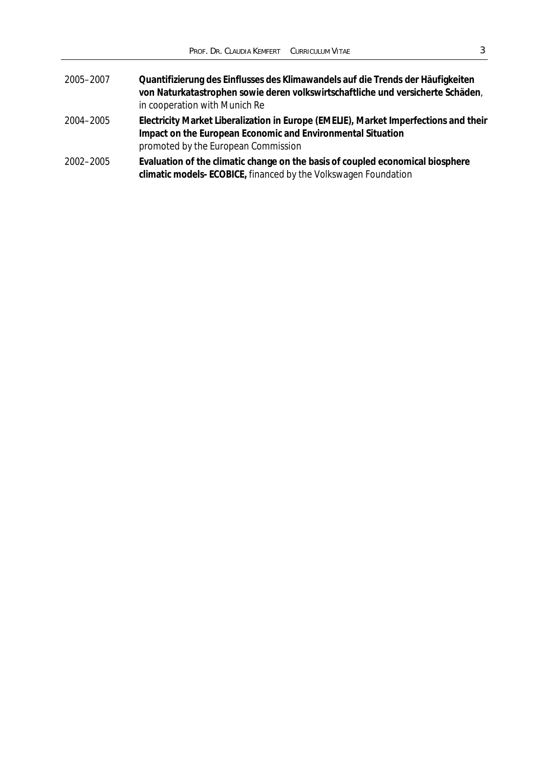| 2005-2007 | Quantifizierung des Einflusses des Klimawandels auf die Trends der Häufigkeiten<br>von Naturkatastrophen sowie deren volkswirtschaftliche und versicherte Schäden,<br>in cooperation with Munich Re |
|-----------|-----------------------------------------------------------------------------------------------------------------------------------------------------------------------------------------------------|
| 2004-2005 | Electricity Market Liberalization in Europe (EMELIE), Market Imperfections and their<br>Impact on the European Economic and Environmental Situation<br>promoted by the European Commission          |
| 2002-2005 | Evaluation of the climatic change on the basis of coupled economical biosphere<br>climatic models-ECOBICE, financed by the Volkswagen Foundation                                                    |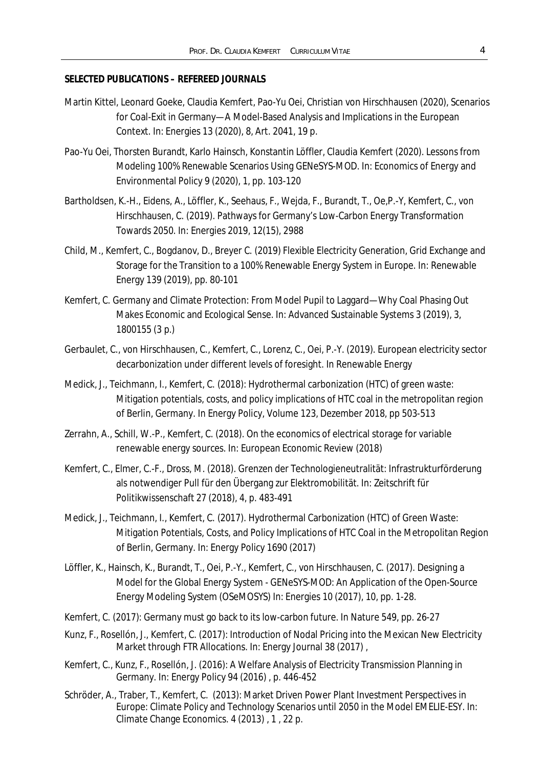### **SELECTED PUBLICATIONS – REFEREED JOURNALS**

- Martin Kittel, Leonard Goeke, Claudia Kemfert, Pao-Yu Oei, Christian von Hirschhausen (2020), Scenarios for Coal-Exit in Germany—A Model-Based Analysis and Implications in the European Context. In: Energies 13 (2020), 8, Art. 2041, 19 p.
- Pao-Yu Oei, Thorsten Burandt, Karlo Hainsch, Konstantin Löffler, Claudia Kemfert (2020). Lessons from Modeling 100% Renewable Scenarios Using GENeSYS-MOD. In: Economics of Energy and Environmental Policy 9 (2020), 1, pp. 103-120
- Bartholdsen, K.-H., Eidens, A., Löffler, K., Seehaus, F., Wejda, F., Burandt, T., Oe,P.-Y, Kemfert, C., von Hirschhausen, C. (2019). Pathways for Germany's Low-Carbon Energy Transformation Towards 2050. In: Energies 2019, 12(15), 2988
- Child, M., Kemfert, C., Bogdanov, D., Breyer C. (2019) Flexible Electricity Generation, Grid Exchange and Storage for the Transition to a 100% Renewable Energy System in Europe. In: Renewable Energy 139 (2019), pp. 80-101
- Kemfert, C. Germany and Climate Protection: From Model Pupil to Laggard—Why Coal Phasing Out Makes Economic and Ecological Sense. In: Advanced Sustainable Systems 3 (2019), 3, 1800155 (3 p.)
- Gerbaulet, C., von Hirschhausen, C., Kemfert, C., Lorenz, C., Oei, P.-Y. (2019). European electricity sector decarbonization under different levels of foresight. In Renewable Energy
- Medick, J., Teichmann, I., Kemfert, C. (2018): Hydrothermal carbonization (HTC) of green waste: Mitigation potentials, costs, and policy implications of HTC coal in the metropolitan region of Berlin, Germany. In Energy Policy, Volume 123, Dezember 2018, pp 503-513
- Zerrahn, A., Schill, W.-P., Kemfert, C. (2018). On the economics of electrical storage for variable renewable energy sources. In: European Economic Review (2018)
- Kemfert, C., Elmer, C.-F., Dross, M. (2018). Grenzen der Technologieneutralität: Infrastrukturförderung als notwendiger Pull für den Übergang zur Elektromobilität. In: Zeitschrift für Politikwissenschaft 27 (2018), 4, p. 483-491
- Medick, J., Teichmann, I., Kemfert, C. (2017). Hydrothermal Carbonization (HTC) of Green Waste: Mitigation Potentials, Costs, and Policy Implications of HTC Coal in the Metropolitan Region of Berlin, Germany. In: Energy Policy 1690 (2017)
- Löffler, K., Hainsch, K., Burandt, T., Oei, P.-Y., Kemfert, C., von Hirschhausen, C. (2017). Designing a Model for the Global Energy System - GENeSYS-MOD: An Application of the Open-Source Energy Modeling System (OSeMOSYS) In: Energies 10 (2017), 10, pp. 1-28.
- Kemfert, C. (2017): Germany must go back to its low-carbon future. In Nature 549, pp. 26-27
- Kunz, F., Rosellón, J., Kemfert, C. (2017): Introduction of Nodal Pricing into the Mexican New Electricity Market through FTR Allocations. In: Energy Journal 38 (2017),
- Kemfert, C., Kunz, F., Rosellón, J. (2016): A Welfare Analysis of Electricity Transmission Planning in Germany. In: Energy Policy 94 (2016) , p. 446-452
- Schröder, A., Traber, T., Kemfert, C. (2013): Market Driven Power Plant Investment Perspectives in Europe: Climate Policy and Technology Scenarios until 2050 in the Model EMELIE-ESY. In: Climate Change Economics. 4 (2013) , 1 , 22 p.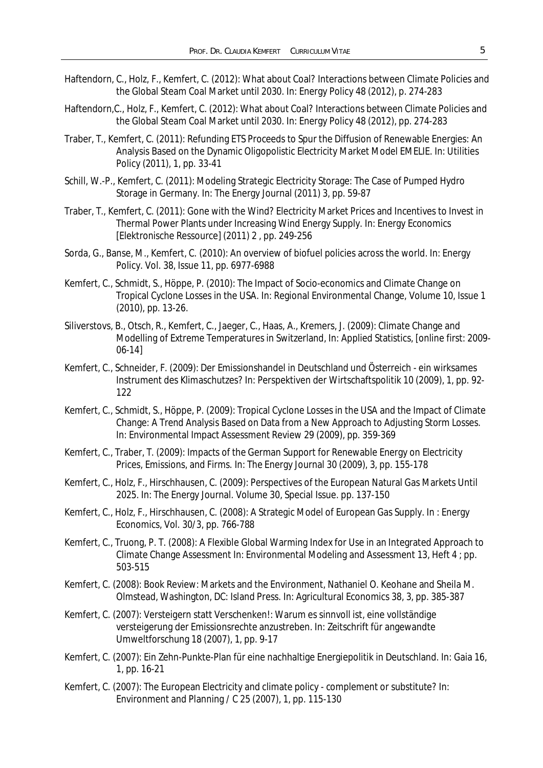- Haftendorn, C., Holz, F., Kemfert, C. (2012): What about Coal? Interactions between Climate Policies and the Global Steam Coal Market until 2030. In: Energy Policy 48 (2012), p. 274-283
- Haftendorn,C., Holz, F., Kemfert, C. (2012): What about Coal? Interactions between Climate Policies and the Global Steam Coal Market until 2030. In: Energy Policy 48 (2012), pp. 274-283
- Traber, T., Kemfert, C. (2011): Refunding ETS Proceeds to Spur the Diffusion of Renewable Energies: An Analysis Based on the Dynamic Oligopolistic Electricity Market Model EMELIE. In: Utilities Policy (2011), 1, pp. 33-41
- Schill, W.-P., Kemfert, C. (2011): Modeling Strategic Electricity Storage: The Case of Pumped Hydro Storage in Germany. In: The Energy Journal (2011) 3, pp. 59-87
- Traber, T., Kemfert, C. (2011): Gone with the Wind? Electricity Market Prices and Incentives to Invest in Thermal Power Plants under Increasing Wind Energy Supply. In: Energy Economics [Elektronische Ressource] (2011) 2 , pp. 249-256
- Sorda, G., Banse, M., Kemfert, C. (2010): An overview of biofuel policies across the world. In: Energy Policy. Vol. 38, Issue 11, pp. 6977-6988
- Kemfert, C., Schmidt, S., Höppe, P. (2010): The Impact of Socio-economics and Climate Change on Tropical Cyclone Losses in the USA. In: Regional Environmental Change, Volume 10, Issue 1 (2010), pp. 13-26.
- Siliverstovs, B., Otsch, R., Kemfert, C., Jaeger, C., Haas, A., Kremers, J. (2009): Climate Change and Modelling of Extreme Temperatures in Switzerland, In: Applied Statistics, [online first: 2009- 06-14]
- Kemfert, C., Schneider, F. (2009): Der Emissionshandel in Deutschland und Österreich ein wirksames Instrument des Klimaschutzes? In: Perspektiven der Wirtschaftspolitik 10 (2009), 1, pp. 92- 122
- Kemfert, C., Schmidt, S., Höppe, P. (2009): Tropical Cyclone Losses in the USA and the Impact of Climate Change: A Trend Analysis Based on Data from a New Approach to Adjusting Storm Losses. In: Environmental Impact Assessment Review 29 (2009), pp. 359-369
- Kemfert, C., Traber, T. (2009): Impacts of the German Support for Renewable Energy on Electricity Prices, Emissions, and Firms. In: The Energy Journal 30 (2009), 3, pp. 155-178
- Kemfert, C., Holz, F., Hirschhausen, C. (2009): Perspectives of the European Natural Gas Markets Until 2025. In: The Energy Journal. Volume 30, Special Issue. pp. 137-150
- Kemfert, C., Holz, F., Hirschhausen, C. (2008): A Strategic Model of European Gas Supply. In : Energy Economics, Vol. 30/3, pp. 766-788
- Kemfert, C., Truong, P. T. (2008): A Flexible Global Warming Index for Use in an Integrated Approach to Climate Change Assessment In: Environmental Modeling and Assessment 13, Heft 4 ; pp. 503-515
- Kemfert, C. (2008): Book Review: Markets and the Environment, Nathaniel O. Keohane and Sheila M. Olmstead, Washington, DC: Island Press. In: Agricultural Economics 38, 3, pp. 385-387
- Kemfert, C. (2007): Versteigern statt Verschenken!: Warum es sinnvoll ist, eine vollständige versteigerung der Emissionsrechte anzustreben. In: Zeitschrift für angewandte Umweltforschung 18 (2007), 1, pp. 9-17
- Kemfert, C. (2007): Ein Zehn-Punkte-Plan für eine nachhaltige Energiepolitik in Deutschland. In: Gaia 16, 1, pp. 16-21
- Kemfert, C. (2007): The European Electricity and climate policy complement or substitute? In: Environment and Planning / C 25 (2007), 1, pp. 115-130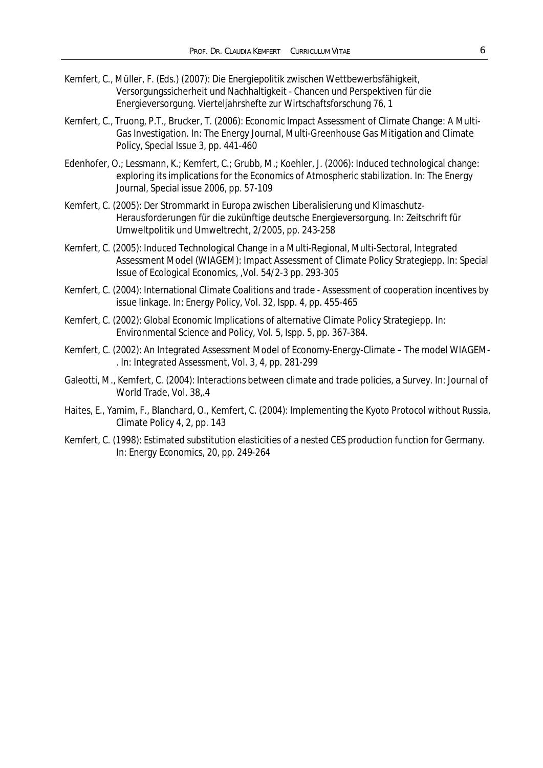- Kemfert, C., Müller, F. (Eds.) (2007): Die Energiepolitik zwischen Wettbewerbsfähigkeit, Versorgungssicherheit und Nachhaltigkeit - Chancen und Perspektiven für die Energieversorgung. Vierteljahrshefte zur Wirtschaftsforschung 76, 1
- Kemfert, C., Truong, P.T., Brucker, T. (2006): Economic Impact Assessment of Climate Change: A Multi-Gas Investigation. In: The Energy Journal, Multi-Greenhouse Gas Mitigation and Climate Policy, Special Issue 3, pp. 441-460
- Edenhofer, O.; Lessmann, K.; Kemfert, C.; Grubb, M.; Koehler, J. (2006): Induced technological change: exploring its implications for the Economics of Atmospheric stabilization. In: The Energy Journal, Special issue 2006, pp. 57-109
- Kemfert, C. (2005): Der Strommarkt in Europa zwischen Liberalisierung und Klimaschutz-Herausforderungen für die zukünftige deutsche Energieversorgung. In: Zeitschrift für Umweltpolitik und Umweltrecht, 2/2005, pp. 243-258
- Kemfert, C. (2005): Induced Technological Change in a Multi-Regional, Multi-Sectoral, Integrated Assessment Model (WIAGEM): Impact Assessment of Climate Policy Strategiepp. In: Special Issue of Ecological Economics, ,Vol. 54/2-3 pp. 293-305
- Kemfert, C. (2004): International Climate Coalitions and trade Assessment of cooperation incentives by issue linkage. In: Energy Policy, Vol. 32, Ispp. 4, pp. 455-465
- Kemfert, C. (2002): Global Economic Implications of alternative Climate Policy Strategiepp. In: Environmental Science and Policy, Vol. 5, Ispp. 5, pp. 367-384.
- Kemfert, C. (2002): An Integrated Assessment Model of Economy-Energy-Climate The model WIAGEM- . In: Integrated Assessment, Vol. 3, 4, pp. 281-299
- Galeotti, M., Kemfert, C. (2004): Interactions between climate and trade policies, a Survey. In: Journal of World Trade, Vol. 38,.4
- Haites, E., Yamim, F., Blanchard, O., Kemfert, C. (2004): Implementing the Kyoto Protocol without Russia, Climate Policy 4, 2, pp. 143
- Kemfert, C. (1998): Estimated substitution elasticities of a nested CES production function for Germany. In: Energy Economics, 20, pp. 249-264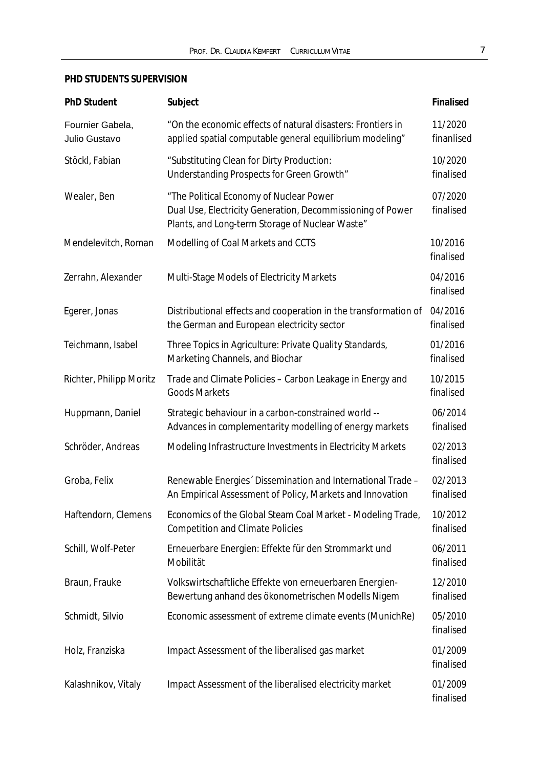## **PHD STUDENTS SUPERVISION**

| PhD Student                       | Subject                                                                                                                                                  | Finalised             |
|-----------------------------------|----------------------------------------------------------------------------------------------------------------------------------------------------------|-----------------------|
| Fournier Gabela,<br>Julio Gustavo | "On the economic effects of natural disasters: Frontiers in<br>applied spatial computable general equilibrium modeling"                                  | 11/2020<br>finanlised |
| Stöckl, Fabian                    | "Substituting Clean for Dirty Production:<br>Understanding Prospects for Green Growth"                                                                   | 10/2020<br>finalised  |
| Wealer, Ben                       | "The Political Economy of Nuclear Power<br>Dual Use, Electricity Generation, Decommissioning of Power<br>Plants, and Long-term Storage of Nuclear Waste" | 07/2020<br>finalised  |
| Mendelevitch, Roman               | Modelling of Coal Markets and CCTS                                                                                                                       | 10/2016<br>finalised  |
| Zerrahn, Alexander                | <b>Multi-Stage Models of Electricity Markets</b>                                                                                                         | 04/2016<br>finalised  |
| Egerer, Jonas                     | Distributional effects and cooperation in the transformation of<br>the German and European electricity sector                                            | 04/2016<br>finalised  |
| Teichmann, Isabel                 | Three Topics in Agriculture: Private Quality Standards,<br>Marketing Channels, and Biochar                                                               | 01/2016<br>finalised  |
| Richter, Philipp Moritz           | Trade and Climate Policies - Carbon Leakage in Energy and<br><b>Goods Markets</b>                                                                        | 10/2015<br>finalised  |
| Huppmann, Daniel                  | Strategic behaviour in a carbon-constrained world --<br>Advances in complementarity modelling of energy markets                                          | 06/2014<br>finalised  |
| Schröder, Andreas                 | Modeling Infrastructure Investments in Electricity Markets                                                                                               | 02/2013<br>finalised  |
| Groba, Felix                      | Renewable Energies Dissemination and International Trade -<br>An Empirical Assessment of Policy, Markets and Innovation                                  | 02/2013<br>finalised  |
| Haftendorn, Clemens               | Economics of the Global Steam Coal Market - Modeling Trade,<br><b>Competition and Climate Policies</b>                                                   | 10/2012<br>finalised  |
| Schill, Wolf-Peter                | Erneuerbare Energien: Effekte für den Strommarkt und<br>Mobilität                                                                                        | 06/2011<br>finalised  |
| Braun, Frauke                     | Volkswirtschaftliche Effekte von erneuerbaren Energien-<br>Bewertung anhand des ökonometrischen Modells Nigem                                            | 12/2010<br>finalised  |
| Schmidt, Silvio                   | Economic assessment of extreme climate events (MunichRe)                                                                                                 | 05/2010<br>finalised  |
| Holz, Franziska                   | Impact Assessment of the liberalised gas market                                                                                                          | 01/2009<br>finalised  |
| Kalashnikov, Vitaly               | Impact Assessment of the liberalised electricity market                                                                                                  | 01/2009<br>finalised  |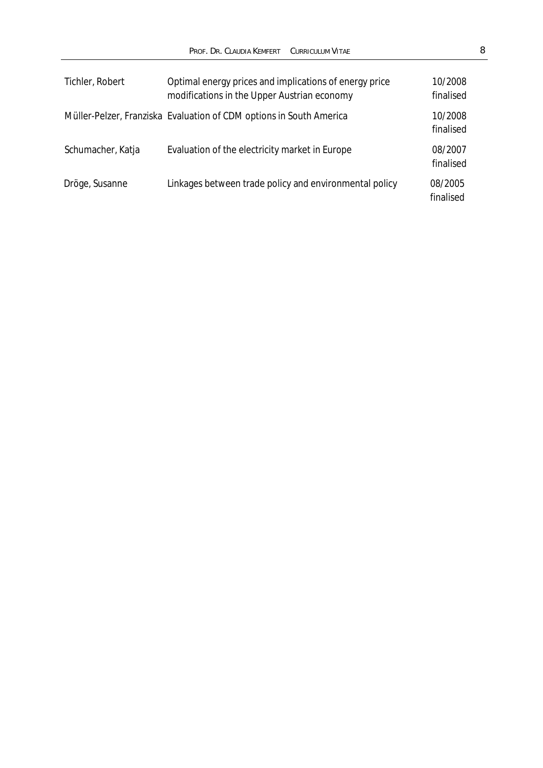| Tichler, Robert   | Optimal energy prices and implications of energy price<br>modifications in the Upper Austrian economy | 10/2008<br>finalised |
|-------------------|-------------------------------------------------------------------------------------------------------|----------------------|
|                   | Müller-Pelzer, Franziska Evaluation of CDM options in South America                                   | 10/2008<br>finalised |
| Schumacher, Katja | Evaluation of the electricity market in Europe                                                        | 08/2007<br>finalised |
| Dröge, Susanne    | Linkages between trade policy and environmental policy                                                | 08/2005<br>finalised |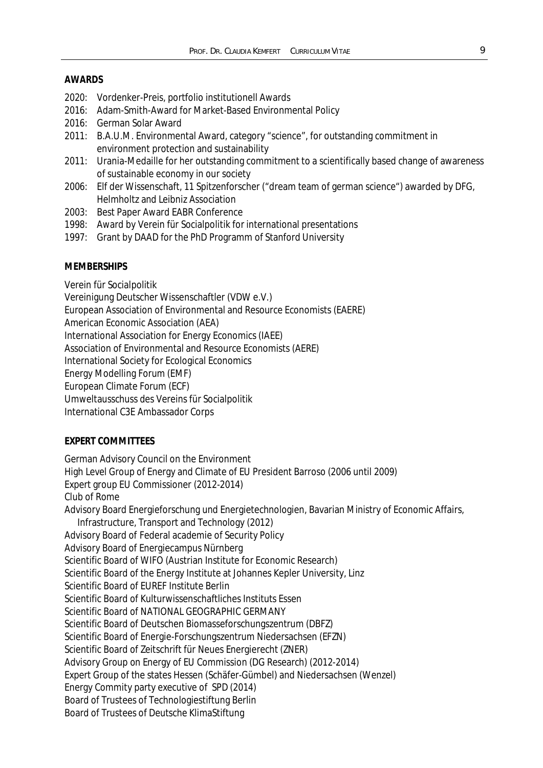#### **AWARDS**

- 2020: Vordenker-Preis, portfolio institutionell Awards
- 2016: Adam-Smith-Award for Market-Based Environmental Policy
- 2016: German Solar Award
- 2011: B.A.U.M. Environmental Award, category "science", for outstanding commitment in environment protection and sustainability
- 2011: Urania-Medaille for her outstanding commitment to a scientifically based change of awareness of sustainable economy in our society
- 2006: Elf der Wissenschaft, 11 Spitzenforscher ("dream team of german science") awarded by DFG, Helmholtz and Leibniz Association
- 2003: Best Paper Award EABR Conference
- 1998: Award by Verein für Socialpolitik for international presentations
- 1997: Grant by DAAD for the PhD Programm of Stanford University

#### **MEMBERSHIPS**

Verein für Socialpolitik

Vereinigung Deutscher Wissenschaftler (VDW e.V.)

European Association of Environmental and Resource Economists (EAERE)

American Economic Association (AEA)

International Association for Energy Economics (IAEE)

Association of Environmental and Resource Economists (AERE)

International Society for Ecological Economics

Energy Modelling Forum (EMF)

European Climate Forum (ECF)

Umweltausschuss des Vereins für Socialpolitik

International C3E Ambassador Corps

#### **EXPERT COMMITTEES**

German Advisory Council on the Environment High Level Group of Energy and Climate of EU President Barroso (2006 until 2009) Expert group EU Commissioner (2012-2014) Club of Rome Advisory Board Energieforschung und Energietechnologien, Bavarian Ministry of Economic Affairs, Infrastructure, Transport and Technology (2012) Advisory Board of Federal academie of Security Policy Advisory Board of Energiecampus Nürnberg Scientific Board of WIFO (Austrian Institute for Economic Research) Scientific Board of the Energy Institute at Johannes Kepler University, Linz Scientific Board of EUREF Institute Berlin Scientific Board of Kulturwissenschaftliches Instituts Essen Scientific Board of NATIONAL GEOGRAPHIC GERMANY Scientific Board of Deutschen Biomasseforschungszentrum (DBFZ) Scientific Board of Energie-Forschungszentrum Niedersachsen (EFZN) Scientific Board of Zeitschrift für Neues Energierecht (ZNER) Advisory Group on Energy of EU Commission (DG Research) (2012-2014) Expert Group of the states Hessen (Schäfer-Gümbel) and Niedersachsen (Wenzel) Energy Commity party executive of SPD (2014) Board of Trustees of Technologiestiftung Berlin Board of Trustees of Deutsche KlimaStiftung